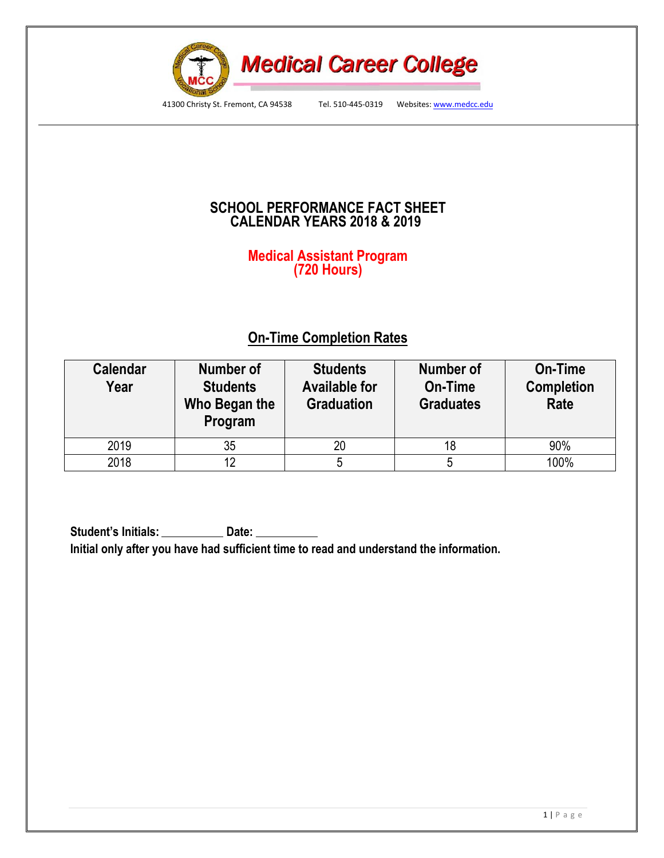

41300 Christy St. Fremont, CA 94538 Tel. 510-445-0319 Websites: www.medcc.edu

## **SCHOOL PERFORMANCE FACT SHEET CALENDAR YEARS 2018 & 2019**

### **Medical Assistant Program (720 Hours)**

# **On-Time Completion Rates**

| <b>Calendar</b><br>Year | <b>Number of</b><br><b>Students</b><br>Who Began the<br>Program | <b>Students</b><br><b>Available for</b><br><b>Graduation</b> | Number of<br>On-Time<br><b>Graduates</b> | On-Time<br><b>Completion</b><br>Rate |  |
|-------------------------|-----------------------------------------------------------------|--------------------------------------------------------------|------------------------------------------|--------------------------------------|--|
| 2019                    | 35                                                              |                                                              | 18                                       | 90%                                  |  |
| 2018                    | 12                                                              |                                                              | 5                                        | 100%                                 |  |

**Student's Initials: Date: Initial only after you have had sufficient time to read and understand the information.**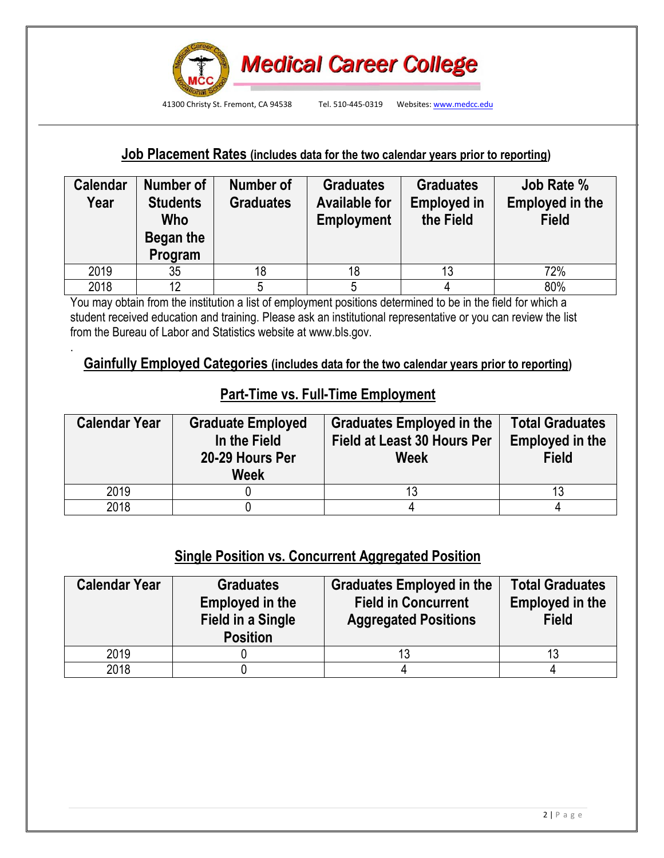

### **Job Placement Rates (includes data for the two calendar years prior to reporting)**

| <b>Calendar</b><br>Year | Number of<br><b>Students</b><br>Who<br>Began the<br>Program | Number of<br><b>Graduates</b> | <b>Graduates</b><br><b>Available for</b><br><b>Employment</b> | <b>Graduates</b><br><b>Employed in</b><br>the Field | <b>Job Rate %</b><br><b>Employed in the</b><br><b>Field</b> |  |
|-------------------------|-------------------------------------------------------------|-------------------------------|---------------------------------------------------------------|-----------------------------------------------------|-------------------------------------------------------------|--|
| 2019                    | 35                                                          | 18                            | 18                                                            | 13                                                  | 72%                                                         |  |
| 2018                    | 12                                                          |                               |                                                               |                                                     | 80%                                                         |  |

You may obtain from the institution a list of employment positions determined to be in the field for which a student received education and training. Please ask an institutional representative or you can review the list from the Bureau of Labor and Statistics website at www.bls.gov.

.

### **Gainfully Employed Categories (includes data for the two calendar years prior to reporting)**

## **Part-Time vs. Full-Time Employment**

| <b>Calendar Year</b> | <b>Graduate Employed</b><br>In the Field<br>20-29 Hours Per<br><b>Week</b> | <b>Graduates Employed in the</b><br><b>Field at Least 30 Hours Per</b><br>Week | <b>Total Graduates</b><br><b>Employed in the</b><br><b>Field</b> |  |  |
|----------------------|----------------------------------------------------------------------------|--------------------------------------------------------------------------------|------------------------------------------------------------------|--|--|
| 2019                 |                                                                            |                                                                                | 13                                                               |  |  |
| 2018                 |                                                                            |                                                                                |                                                                  |  |  |

## **Single Position vs. Concurrent Aggregated Position**

| <b>Calendar Year</b> | <b>Graduates</b><br>Employed in the<br><b>Field in a Single</b><br><b>Position</b> | <b>Graduates Employed in the</b><br><b>Field in Concurrent</b><br><b>Aggregated Positions</b> | <b>Total Graduates</b><br><b>Employed in the</b><br><b>Field</b> |  |  |
|----------------------|------------------------------------------------------------------------------------|-----------------------------------------------------------------------------------------------|------------------------------------------------------------------|--|--|
| 2019                 |                                                                                    |                                                                                               |                                                                  |  |  |
| 2018                 |                                                                                    |                                                                                               |                                                                  |  |  |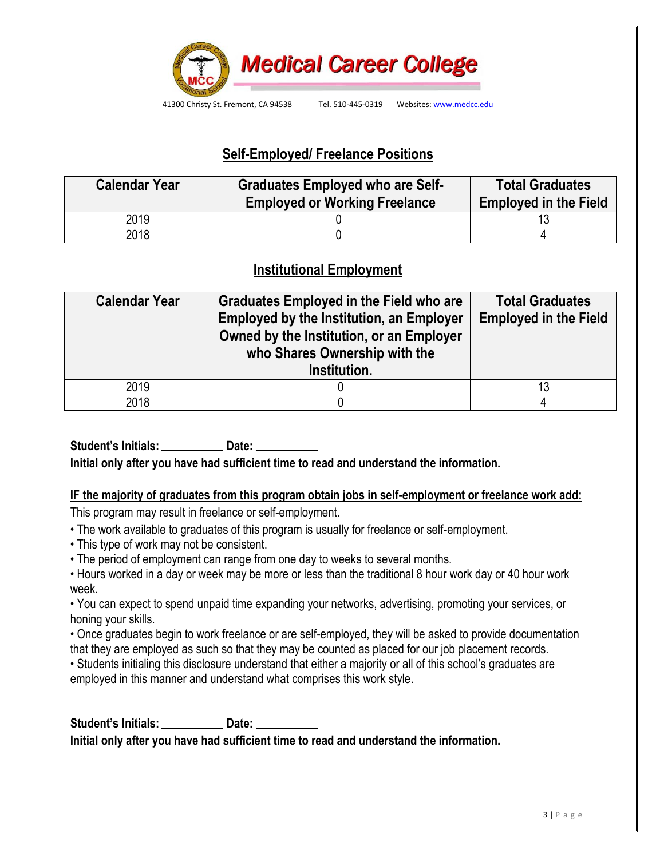

# **Self-Employed/ Freelance Positions**

| <b>Calendar Year</b> | <b>Graduates Employed who are Self-</b><br><b>Employed or Working Freelance</b> | <b>Total Graduates</b><br><b>Employed in the Field</b> |  |  |
|----------------------|---------------------------------------------------------------------------------|--------------------------------------------------------|--|--|
| 2019                 |                                                                                 |                                                        |  |  |
| 2018                 |                                                                                 |                                                        |  |  |

# **Institutional Employment**

| <b>Calendar Year</b> | Graduates Employed in the Field who are<br><b>Employed by the Institution, an Employer</b><br>Owned by the Institution, or an Employer<br>who Shares Ownership with the<br>Institution. | <b>Total Graduates</b><br><b>Employed in the Field</b> |
|----------------------|-----------------------------------------------------------------------------------------------------------------------------------------------------------------------------------------|--------------------------------------------------------|
| 2019                 |                                                                                                                                                                                         | 13                                                     |
| 2018                 |                                                                                                                                                                                         |                                                        |

**Student's Initials: Date: Initial only after you have had sufficient time to read and understand the information.**

#### **IF the majority of graduates from this program obtain jobs in self-employment or freelance work add:**

This program may result in freelance or self-employment.

- The work available to graduates of this program is usually for freelance or self-employment.
- This type of work may not be consistent.
- The period of employment can range from one day to weeks to several months.
- Hours worked in a day or week may be more or less than the traditional 8 hour work day or 40 hour work week.

• You can expect to spend unpaid time expanding your networks, advertising, promoting your services, or honing your skills.

• Once graduates begin to work freelance or are self-employed, they will be asked to provide documentation that they are employed as such so that they may be counted as placed for our job placement records.

• Students initialing this disclosure understand that either a majority or all of this school's graduates are employed in this manner and understand what comprises this work style.

**Student's Initials: Date: Initial only after you have had sufficient time to read and understand the information.**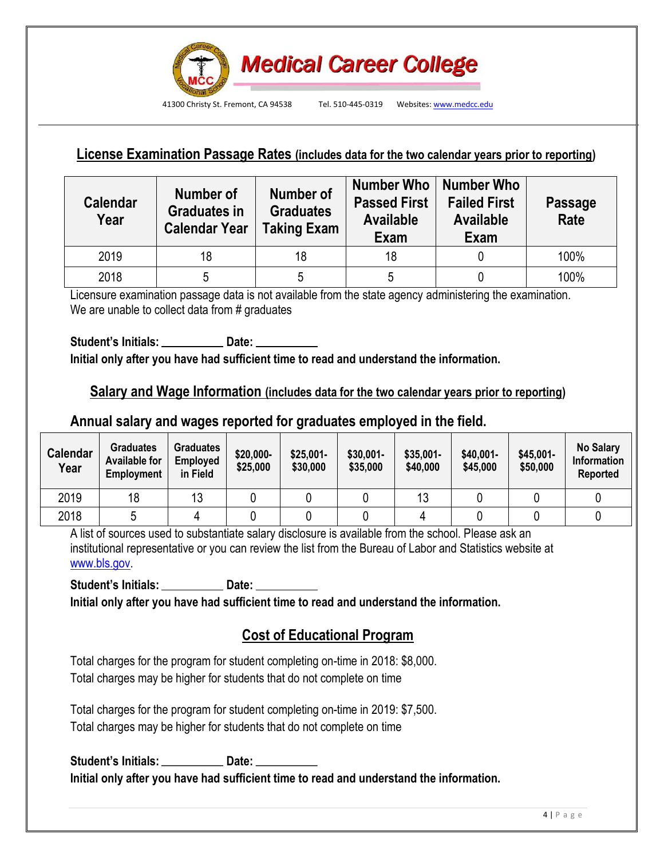

# **License Examination Passage Rates (includes data for the two calendar years prior to reporting)**

| <b>Calendar</b><br>Year | Number of<br><b>Graduates in</b><br><b>Calendar Year</b> | <b>Number of</b><br><b>Graduates</b><br><b>Taking Exam</b> | Number Who   Number Who<br><b>Passed First</b><br><b>Available</b><br>Exam | <b>Failed First</b><br><b>Available</b><br>Exam | <b>Passage</b><br><b>Rate</b> |
|-------------------------|----------------------------------------------------------|------------------------------------------------------------|----------------------------------------------------------------------------|-------------------------------------------------|-------------------------------|
| 2019                    | 18                                                       | 18                                                         | 18                                                                         |                                                 | 100%                          |
| 2018                    |                                                          | 5                                                          | 5                                                                          |                                                 | 100%                          |

Licensure examination passage data is not available from the state agency administering the examination. We are unable to collect data from # graduates

**Student's Initials: Date: Initial only after you have had sufficient time to read and understand the information.**

### **Salary and Wage Information (includes data for the two calendar years prior to reporting)**

### **Annual salary and wages reported for graduates employed in the field.**

| <b>Calendar</b><br>Year | <b>Graduates</b><br><b>Available for</b><br>Employment | <b>Graduates</b><br>Employed<br>in Field | \$20,000-<br>\$25,000 | $$25,001-$<br>\$30,000 | $$30,001-$<br>\$35,000 | \$35,001-<br>\$40,000 | \$40,001-<br>\$45,000 | \$45,001-<br>\$50,000 | <b>No Salary</b><br>Information<br><b>Reported</b> |
|-------------------------|--------------------------------------------------------|------------------------------------------|-----------------------|------------------------|------------------------|-----------------------|-----------------------|-----------------------|----------------------------------------------------|
| 2019                    | 18                                                     | 13                                       |                       |                        |                        |                       |                       |                       |                                                    |
| 2018                    |                                                        |                                          |                       |                        |                        |                       |                       |                       |                                                    |

A list of sources used to substantiate salary disclosure is available from the school. Please ask an institutional representative or you can review the list from the Bureau of Labor and Statistics website at www.bls.gov.

**Student's Initials: Date:**

**Initial only after you have had sufficient time to read and understand the information.**

## **Cost of Educational Program**

Total charges for the program for student completing on-time in 2018: \$8,000. Total charges may be higher for students that do not complete on time

Total charges for the program for student completing on-time in 2019: \$7,500. Total charges may be higher for students that do not complete on time

**Student's Initials: Date: Initial only after you have had sufficient time to read and understand the information.**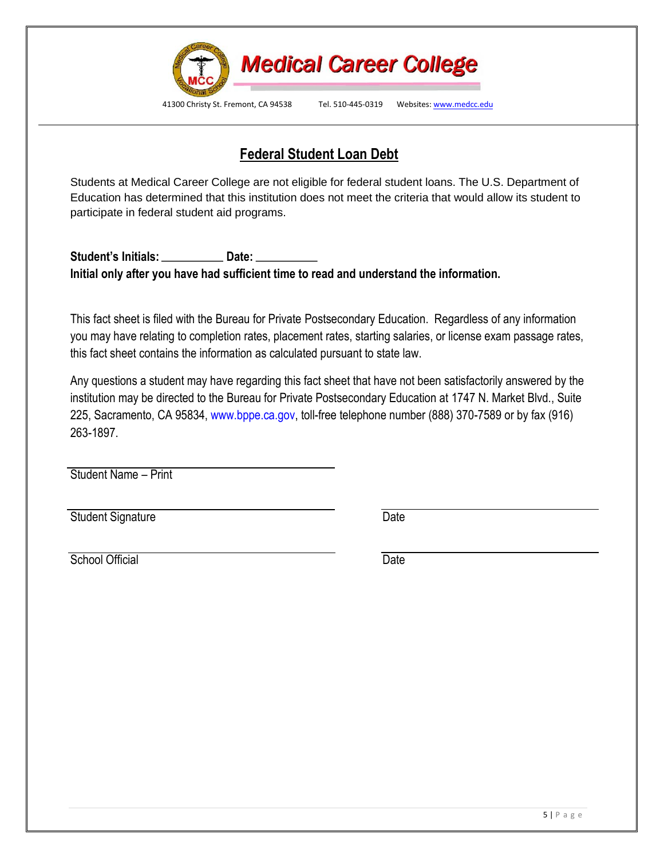

 **Federal Student Loan Debt**

Students at Medical Career College are not eligible for federal student loans. The U.S. Department of Education has determined that this institution does not meet the criteria that would allow its student to participate in federal student aid programs.

**Student's Initials: Date: Initial only after you have had sufficient time to read and understand the information.**

This fact sheet is filed with the Bureau for Private Postsecondary Education. Regardless of any information you may have relating to completion rates, placement rates, starting salaries, or license exam passage rates, this fact sheet contains the information as calculated pursuant to state law.

Any questions a student may have regarding this fact sheet that have not been satisfactorily answered by the institution may be directed to the Bureau for Private Postsecondary Education at 1747 N. Market Blvd., Suite 225, Sacramento, CA 95834, www.bppe.ca.gov, toll-free telephone number (888) 370-7589 or by fax (916) 263-1897.

Student Name – Print

Student Signature Date

School Official Date Date Date Date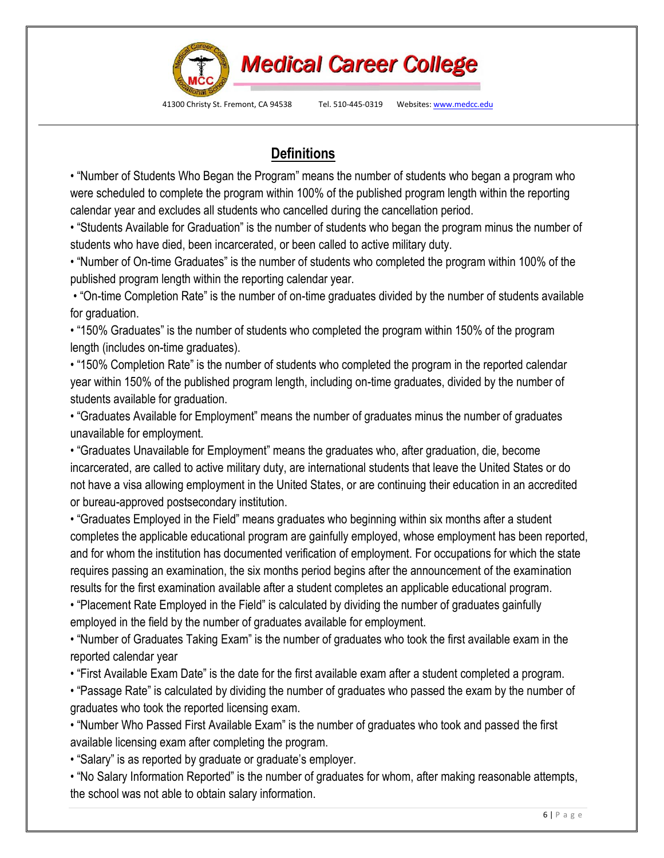

41300 Christy St. Fremont, CA 94538 Tel. 510-445-0319 Websites: www.medcc.edu

# **Definitions**

• "Number of Students Who Began the Program" means the number of students who began a program who were scheduled to complete the program within 100% of the published program length within the reporting calendar year and excludes all students who cancelled during the cancellation period.

• "Students Available for Graduation" is the number of students who began the program minus the number of students who have died, been incarcerated, or been called to active military duty.

• "Number of On-time Graduates" is the number of students who completed the program within 100% of the published program length within the reporting calendar year.

• "On-time Completion Rate" is the number of on-time graduates divided by the number of students available for graduation.

• "150% Graduates" is the number of students who completed the program within 150% of the program length (includes on-time graduates).

• "150% Completion Rate" is the number of students who completed the program in the reported calendar year within 150% of the published program length, including on-time graduates, divided by the number of students available for graduation.

• "Graduates Available for Employment" means the number of graduates minus the number of graduates unavailable for employment.

• "Graduates Unavailable for Employment" means the graduates who, after graduation, die, become incarcerated, are called to active military duty, are international students that leave the United States or do not have a visa allowing employment in the United States, or are continuing their education in an accredited or bureau-approved postsecondary institution.

• "Graduates Employed in the Field" means graduates who beginning within six months after a student completes the applicable educational program are gainfully employed, whose employment has been reported, and for whom the institution has documented verification of employment. For occupations for which the state requires passing an examination, the six months period begins after the announcement of the examination results for the first examination available after a student completes an applicable educational program.

• "Placement Rate Employed in the Field" is calculated by dividing the number of graduates gainfully employed in the field by the number of graduates available for employment.

• "Number of Graduates Taking Exam" is the number of graduates who took the first available exam in the reported calendar year

• "First Available Exam Date" is the date for the first available exam after a student completed a program.

• "Passage Rate" is calculated by dividing the number of graduates who passed the exam by the number of graduates who took the reported licensing exam.

• "Number Who Passed First Available Exam" is the number of graduates who took and passed the first available licensing exam after completing the program.

• "Salary" is as reported by graduate or graduate's employer.

• "No Salary Information Reported" is the number of graduates for whom, after making reasonable attempts, the school was not able to obtain salary information.